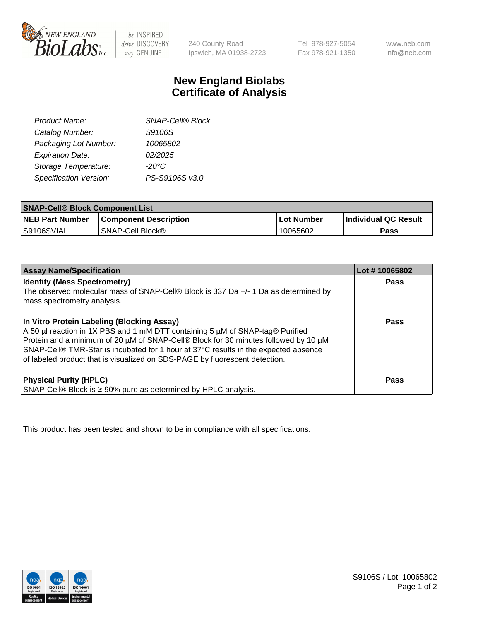

be INSPIRED drive DISCOVERY stay GENUINE

240 County Road Ipswich, MA 01938-2723

Tel 978-927-5054 Fax 978-921-1350

www.neb.com info@neb.com

## **New England Biolabs Certificate of Analysis**

| <b>SNAP-Cell® Block</b> |
|-------------------------|
| S9106S                  |
| 10065802                |
| 02/2025                 |
| $-20^{\circ}$ C         |
| PS-S9106S v3.0          |
|                         |

| <b>SNAP-Cell® Block Component List</b> |                              |              |                             |  |
|----------------------------------------|------------------------------|--------------|-----------------------------|--|
| <b>NEB Part Number</b>                 | <b>Component Description</b> | . Lot Number | <b>Individual QC Result</b> |  |
| S9106SVIAL                             | <b>SNAP-Cell Block®</b>      | 10065602     | Pass                        |  |

| <b>Assay Name/Specification</b>                                                                                                                                                                                                                                                                                                                                                          | Lot #10065802 |
|------------------------------------------------------------------------------------------------------------------------------------------------------------------------------------------------------------------------------------------------------------------------------------------------------------------------------------------------------------------------------------------|---------------|
| <b>Identity (Mass Spectrometry)</b><br>The observed molecular mass of SNAP-Cell® Block is 337 Da +/- 1 Da as determined by<br>mass spectrometry analysis.                                                                                                                                                                                                                                | <b>Pass</b>   |
| In Vitro Protein Labeling (Blocking Assay)<br>A 50 µl reaction in 1X PBS and 1 mM DTT containing 5 µM of SNAP-tag® Purified<br>Protein and a minimum of 20 µM of SNAP-Cell® Block for 30 minutes followed by 10 µM<br>SNAP-Cell® TMR-Star is incubated for 1 hour at 37°C results in the expected absence<br>of labeled product that is visualized on SDS-PAGE by fluorescent detection. | Pass          |
| <b>Physical Purity (HPLC)</b><br>SNAP-Cell® Block is ≥ 90% pure as determined by HPLC analysis.                                                                                                                                                                                                                                                                                          | Pass          |

This product has been tested and shown to be in compliance with all specifications.